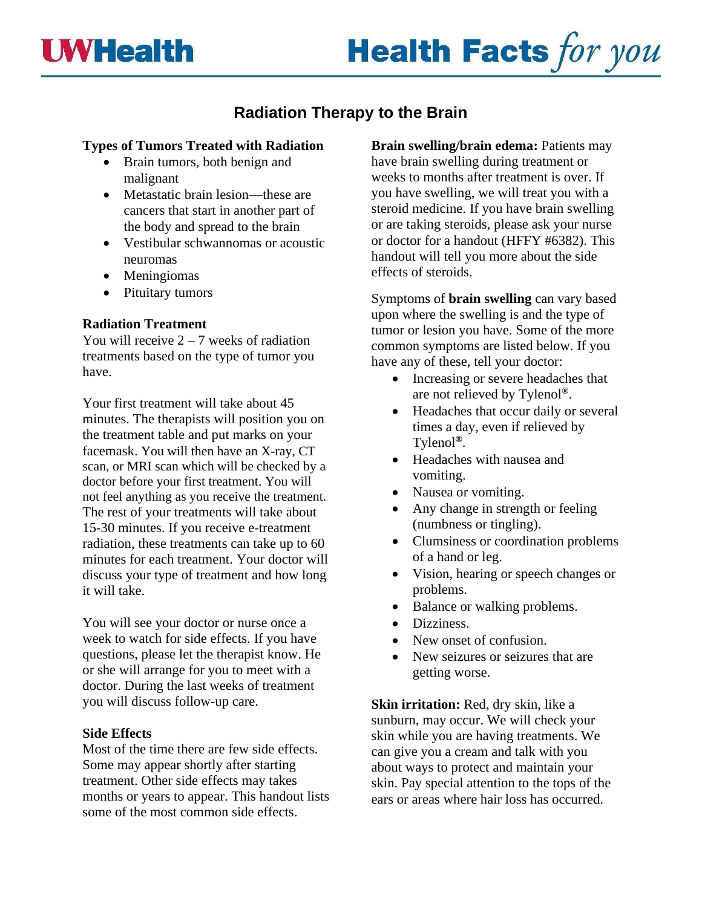# **Health Facts for you**

## **Radiation Therapy to the Brain**

## **Types of Tumors Treated with Radiation**

- Brain tumors, both benign and malignant
- Metastatic brain lesion—these are cancers that start in another part of the body and spread to the brain
- Vestibular schwannomas or acoustic neuromas
- Meningiomas
- Pituitary tumors

## **Radiation Treatment**

You will receive  $2 - 7$  weeks of radiation treatments based on the type of tumor you have.

Your first treatment will take about 45 minutes. The therapists will position you on the treatment table and put marks on your facemask. You will then have an X-ray, CT scan, or MRI scan which will be checked by a doctor before your first treatment. You will not feel anything as you receive the treatment. The rest of your treatments will take about 15-30 minutes. If you receive e-treatment radiation, these treatments can take up to 60 minutes for each treatment. Your doctor will discuss your type of treatment and how long it will take.

You will see your doctor or nurse once a week to watch for side effects. If you have questions, please let the therapist know. He or she will arrange for you to meet with a doctor. During the last weeks of treatment you will discuss follow-up care.

## **Side Effects**

Most of the time there are few side effects. Some may appear shortly after starting treatment. Other side effects may takes months or years to appear. This handout lists some of the most common side effects.

**Brain swelling/brain edema:** Patients may have brain swelling during treatment or weeks to months after treatment is over. If you have swelling, we will treat you with a steroid medicine. If you have brain swelling or are taking steroids, please ask your nurse or doctor for a handout (HFFY #6382). This handout will tell you more about the side effects of steroids.

Symptoms of **brain swelling** can vary based upon where the swelling is and the type of tumor or lesion you have. Some of the more common symptoms are listed below. If you have any of these, tell your doctor:

- Increasing or severe headaches that are not relieved by Tylenol**®**.
- Headaches that occur daily or several times a day, even if relieved by Tylenol**®**.
- Headaches with nausea and vomiting.
- Nausea or vomiting.
- Any change in strength or feeling (numbness or tingling).
- Clumsiness or coordination problems of a hand or leg.
- Vision, hearing or speech changes or problems.
- Balance or walking problems.
- Dizziness.
- New onset of confusion.
- New seizures or seizures that are getting worse.

**Skin irritation:** Red, dry skin, like a sunburn, may occur. We will check your skin while you are having treatments. We can give you a cream and talk with you about ways to protect and maintain your skin. Pay special attention to the tops of the ears or areas where hair loss has occurred.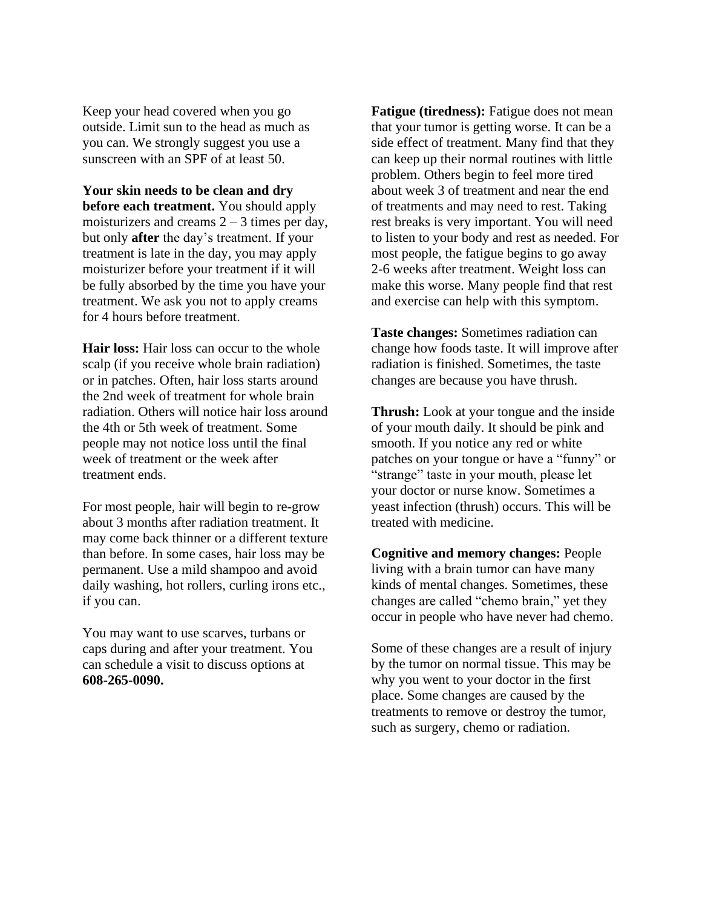Keep your head covered when you go outside. Limit sun to the head as much as you can. We strongly suggest you use a sunscreen with an SPF of at least 50.

**Your skin needs to be clean and dry before each treatment.** You should apply moisturizers and creams  $2 - 3$  times per day, but only **after** the day's treatment. If your treatment is late in the day, you may apply moisturizer before your treatment if it will be fully absorbed by the time you have your treatment. We ask you not to apply creams for 4 hours before treatment.

**Hair loss:** Hair loss can occur to the whole scalp (if you receive whole brain radiation) or in patches. Often, hair loss starts around the 2nd week of treatment for whole brain radiation. Others will notice hair loss around the 4th or 5th week of treatment. Some people may not notice loss until the final week of treatment or the week after treatment ends.

For most people, hair will begin to re-grow about 3 months after radiation treatment. It may come back thinner or a different texture than before. In some cases, hair loss may be permanent. Use a mild shampoo and avoid daily washing, hot rollers, curling irons etc., if you can.

You may want to use scarves, turbans or caps during and after your treatment. You can schedule a visit to discuss options at **608-265-0090.**

**Fatigue (tiredness):** Fatigue does not mean that your tumor is getting worse. It can be a side effect of treatment. Many find that they can keep up their normal routines with little problem. Others begin to feel more tired about week 3 of treatment and near the end of treatments and may need to rest. Taking rest breaks is very important. You will need to listen to your body and rest as needed. For most people, the fatigue begins to go away 2-6 weeks after treatment. Weight loss can make this worse. Many people find that rest and exercise can help with this symptom.

**Taste changes:** Sometimes radiation can change how foods taste. It will improve after radiation is finished. Sometimes, the taste changes are because you have thrush.

**Thrush:** Look at your tongue and the inside of your mouth daily. It should be pink and smooth. If you notice any red or white patches on your tongue or have a "funny" or "strange" taste in your mouth, please let your doctor or nurse know. Sometimes a yeast infection (thrush) occurs. This will be treated with medicine.

**Cognitive and memory changes:** People living with a brain tumor can have many kinds of mental changes. Sometimes, these changes are called "chemo brain," yet they occur in people who have never had chemo.

Some of these changes are a result of injury by the tumor on normal tissue. This may be why you went to your doctor in the first place. Some changes are caused by the treatments to remove or destroy the tumor, such as surgery, chemo or radiation.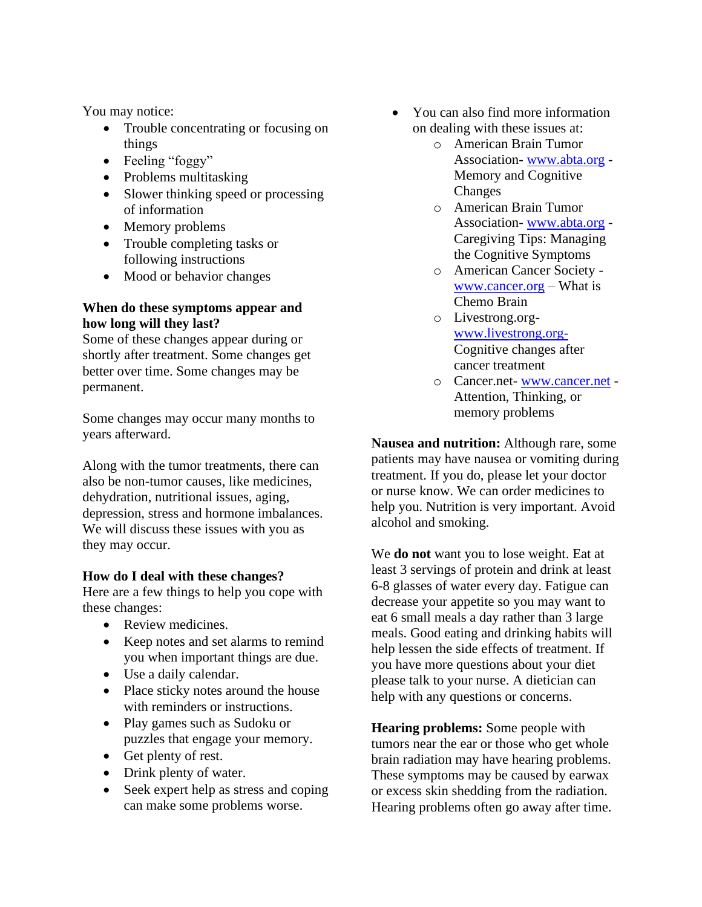You may notice:

- Trouble concentrating or focusing on things
- Feeling "foggy"
- Problems multitasking
- Slower thinking speed or processing of information
- Memory problems
- Trouble completing tasks or following instructions
- Mood or behavior changes

## **When do these symptoms appear and how long will they last?**

Some of these changes appear during or shortly after treatment. Some changes get better over time. Some changes may be permanent.

Some changes may occur many months to years afterward.

Along with the tumor treatments, there can also be non-tumor causes, like medicines, dehydration, nutritional issues, aging, depression, stress and hormone imbalances. We will discuss these issues with you as they may occur.

## **How do I deal with these changes?**

Here are a few things to help you cope with these changes:

- Review medicines.
- Keep notes and set alarms to remind you when important things are due.
- Use a daily calendar.
- Place sticky notes around the house with reminders or instructions.
- Play games such as Sudoku or puzzles that engage your memory.
- Get plenty of rest.
- Drink plenty of water.
- Seek expert help as stress and coping can make some problems worse.
- You can also find more information on dealing with these issues at:
	- o American Brain Tumor Association- [www.abta.org](http://www.abta.org/) - Memory and Cognitive Changes
	- o American Brain Tumor Association- [www.abta.org](http://www.abta.org/) - Caregiving Tips: Managing the Cognitive Symptoms
	- o American Cancer Society [www.cancer.org](http://www.cancer.org/) – [What is](https://www.cancer.org/treatment/treatments-and-side-effects/physical-side-effects/changes-in-mood-or-thinking/chemo-brain.html)  [Chemo Brain](https://www.cancer.org/treatment/treatments-and-side-effects/physical-side-effects/changes-in-mood-or-thinking/chemo-brain.html)
	- o Livestrong.org[www.livestrong.org-](http://www.livestrong.org-/)[Cognitive changes after](https://www.livestrong.org/we-can-help/finishing-treatment/cognitive-changes-after-cancer-treatment)  [cancer treatment](https://www.livestrong.org/we-can-help/finishing-treatment/cognitive-changes-after-cancer-treatment)
	- o Cancer.net- [www.cancer.net](http://www.cancer.net/) [Attention, Thinking, or](http://www.cancer.net/navigating-cancer-care/side-effects/attention-thinking-or-memory-problems)  [memory problems](http://www.cancer.net/navigating-cancer-care/side-effects/attention-thinking-or-memory-problems)

**Nausea and nutrition:** Although rare, some patients may have nausea or vomiting during treatment. If you do, please let your doctor or nurse know. We can order medicines to help you. Nutrition is very important. Avoid alcohol and smoking.

We **do not** want you to lose weight. Eat at least 3 servings of protein and drink at least 6-8 glasses of water every day. Fatigue can decrease your appetite so you may want to eat 6 small meals a day rather than 3 large meals. Good eating and drinking habits will help lessen the side effects of treatment. If you have more questions about your diet please talk to your nurse. A dietician can help with any questions or concerns.

**Hearing problems:** Some people with tumors near the ear or those who get whole brain radiation may have hearing problems. These symptoms may be caused by earwax or excess skin shedding from the radiation. Hearing problems often go away after time.